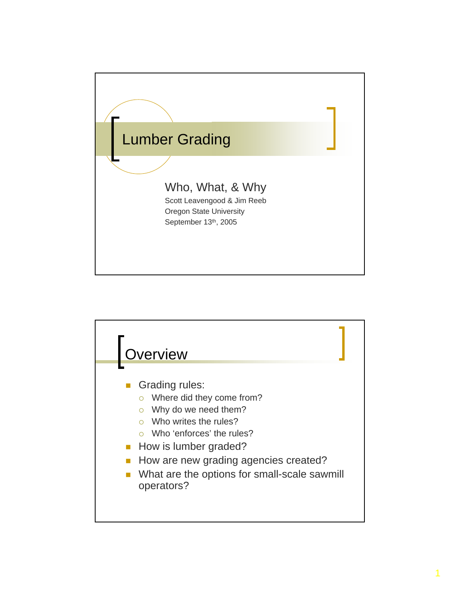

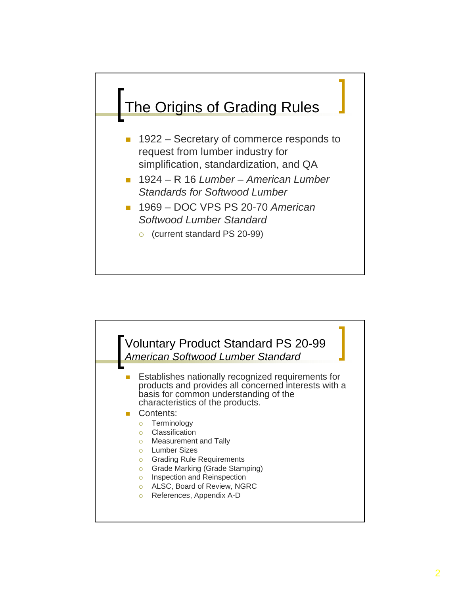

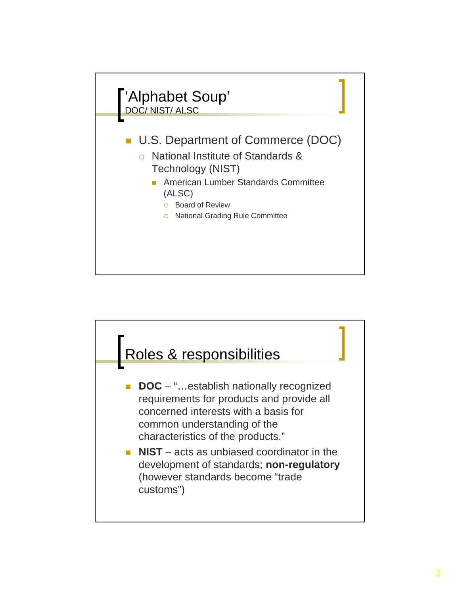

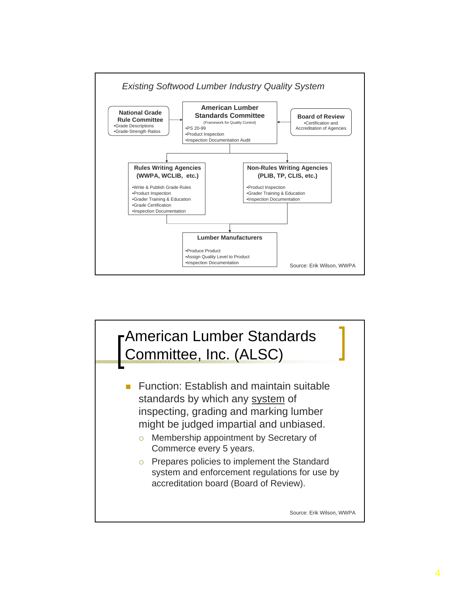

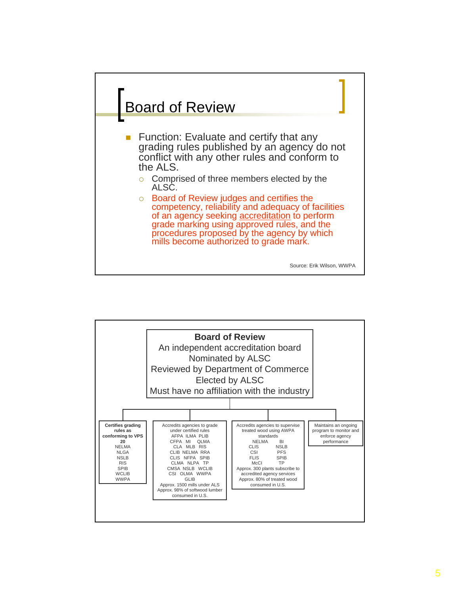

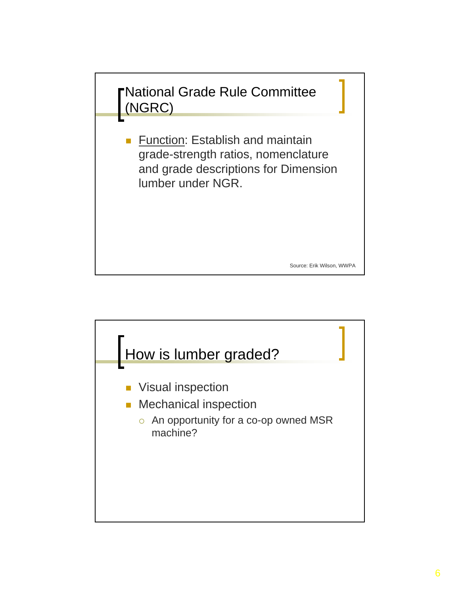

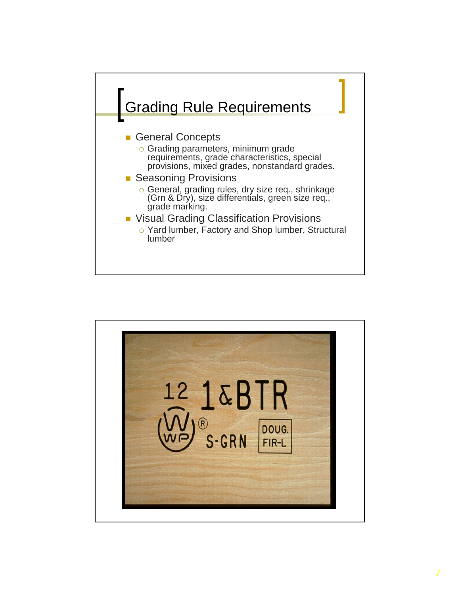

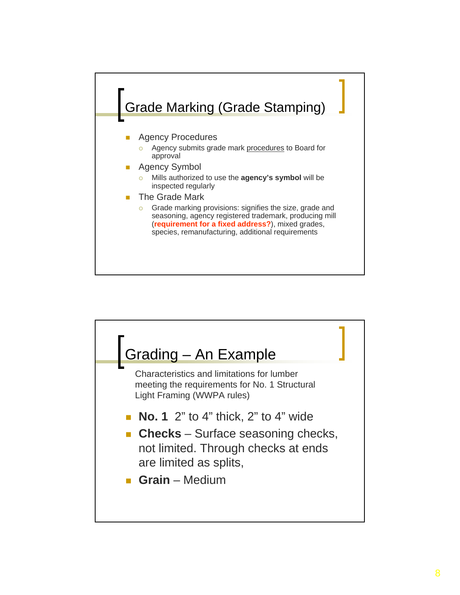

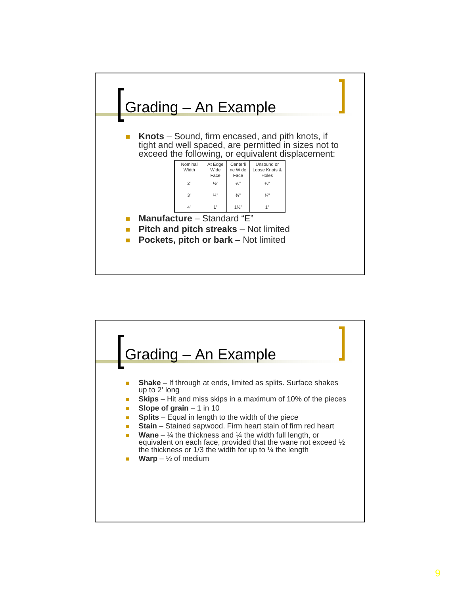

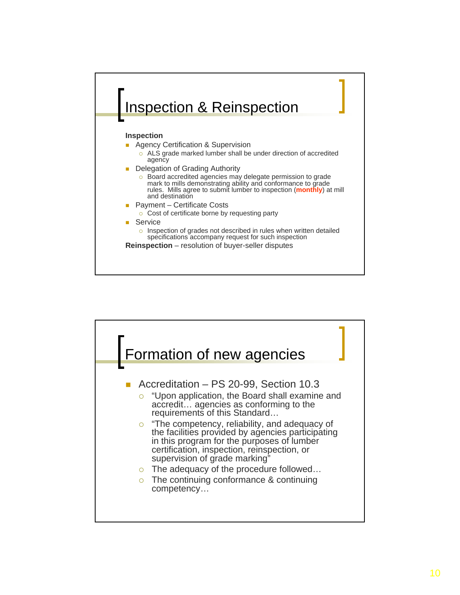

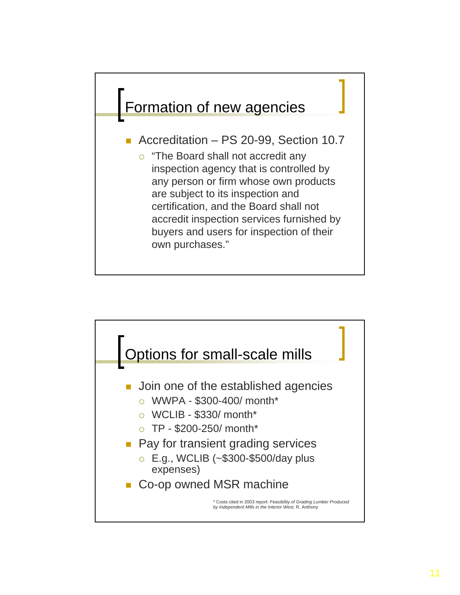